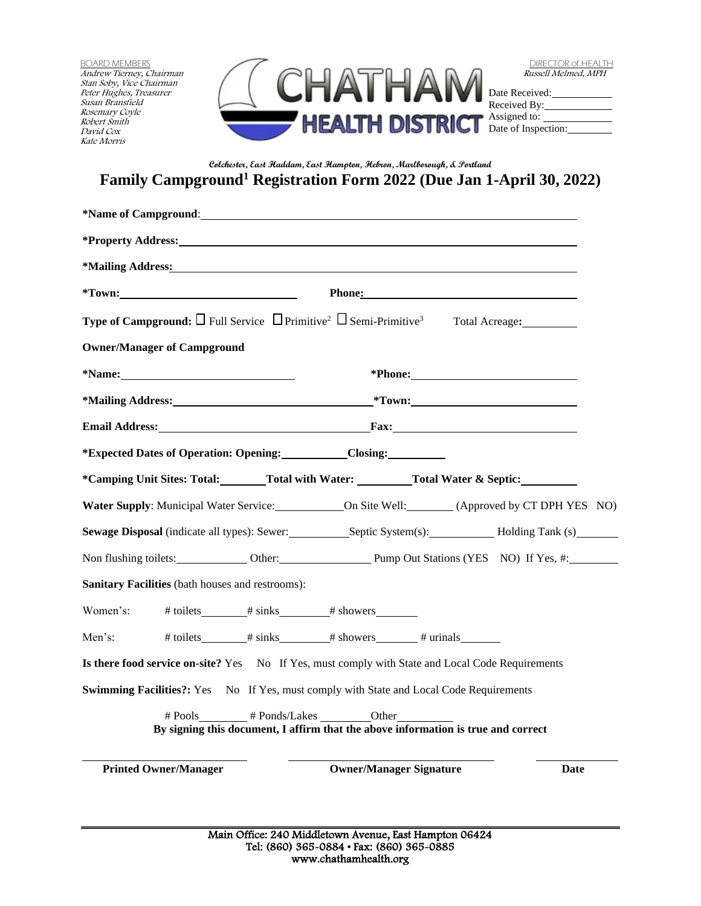BOARD MEMBERS Andrew Tierney, Chairman Stan Soby, Vice Chairman Peter Hughes, Treasurer Susan Bransfield Rosemary Coyle Robert Smith David Cox Kate Morris



| <b>DIRECTOR of HEALTH</b> |
|---------------------------|
| Russell Melmed, MPH       |

Date Received: Received By: Assigned to: Date of Inspection:

## **Colchester, East Haddam, East Hampton, Hebron, Marlborough, & Portland Family Campground<sup>1</sup> Registration Form 2022 (Due Jan 1-April 30, 2022)**

| *Mailing Address: The Society of the Society of the Society of the Society of the Society of the Society of the Society of the Society of the Society of the Society of the Society of the Society of the Society of the Socie              |
|---------------------------------------------------------------------------------------------------------------------------------------------------------------------------------------------------------------------------------------------|
| Phone: The Communication of the Communication of the Communication of the Communication of the Communication of the Communication of the Communication of the Communication of the Communication of the Communication of the C<br>$*$ Town: |
| <b>Type of Campground:</b> $\square$ Full Service $\square$ Primitive <sup>2</sup> $\square$ Semi-Primitive <sup>3</sup> Total Acreage:                                                                                                     |
| <b>Owner/Manager of Campground</b>                                                                                                                                                                                                          |
| *Name:<br>*Phone: Manual Manual Manual Manual Manual Manual Manual Manual Manual Manual Manual Manual Manual Manual Manual Manual Manual Manual Manual Manual Manual Manual Manual Manual Manual Manual Manual Manual Manual Manual Manu    |
| $*$ Town:<br>*Mailing Address: National Address:                                                                                                                                                                                            |
| <b>Email Address:</b> Fax:                                                                                                                                                                                                                  |
| <i>*Expected Dates of Operation: Opening:</i> Closing: Closing:                                                                                                                                                                             |
| *Camping Unit Sites: Total: Total with Water: Total Water & Septic:                                                                                                                                                                         |
|                                                                                                                                                                                                                                             |
| <b>Sewage Disposal</b> (indicate all types): Sewer: Septic System(s): Holding Tank (s)                                                                                                                                                      |
| Non flushing toilets: <b>Calcularist Contact Contact Contact Contact Contact Contact Contact Contact Contact Contact Contact Contact Contact Contact Contact Contact Contact Contact Contact Contact Contact Contact Contact Con</b>        |
| <b>Sanitary Facilities</b> (bath houses and restrooms):                                                                                                                                                                                     |
| Women's:                                                                                                                                                                                                                                    |
| Men's:                                                                                                                                                                                                                                      |
| Is there food service on-site? Yes No If Yes, must comply with State and Local Code Requirements                                                                                                                                            |
| Swimming Facilities?: Yes No If Yes, must comply with State and Local Code Requirements                                                                                                                                                     |
| # Pools # Ponds/Lakes Other<br>By signing this document, I affirm that the above information is true and correct                                                                                                                            |
| <b>Owner/Manager Signature</b><br><b>Printed Owner/Manager</b><br>Date                                                                                                                                                                      |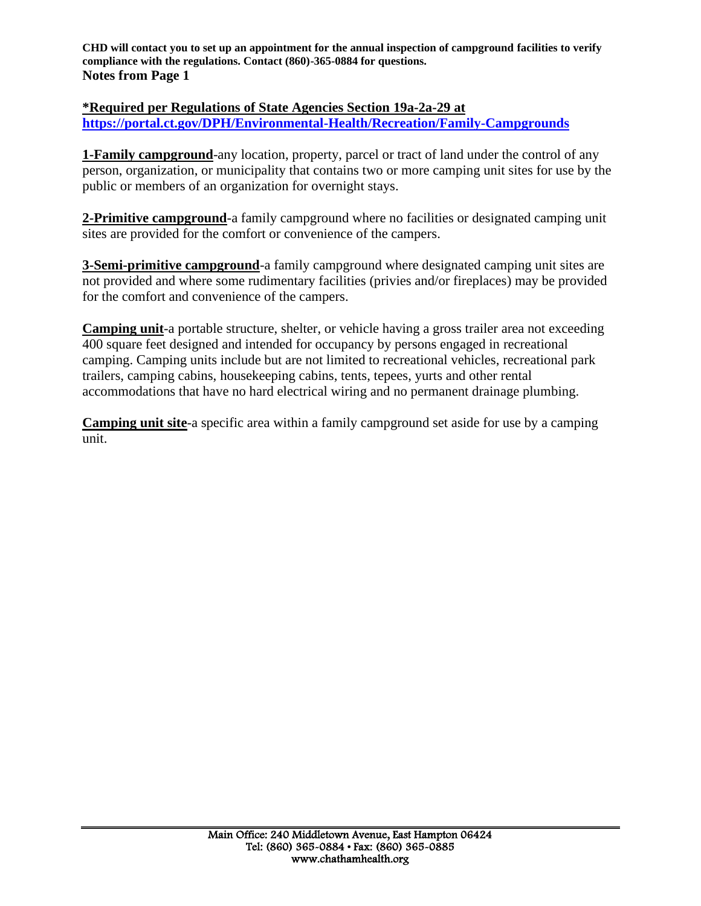**CHD will contact you to set up an appointment for the annual inspection of campground facilities to verify compliance with the regulations. Contact (860)-365-0884 for questions. Notes from Page 1**

**\*Required per Regulations of State Agencies Section 19a-2a-29 at <https://portal.ct.gov/DPH/Environmental-Health/Recreation/Family-Campgrounds>**

**1-Family campground**-any location, property, parcel or tract of land under the control of any person, organization, or municipality that contains two or more camping unit sites for use by the public or members of an organization for overnight stays.

**2-Primitive campground**-a family campground where no facilities or designated camping unit sites are provided for the comfort or convenience of the campers.

**3-Semi-primitive campground**-a family campground where designated camping unit sites are not provided and where some rudimentary facilities (privies and/or fireplaces) may be provided for the comfort and convenience of the campers.

**Camping unit**-a portable structure, shelter, or vehicle having a gross trailer area not exceeding 400 square feet designed and intended for occupancy by persons engaged in recreational camping. Camping units include but are not limited to recreational vehicles, recreational park trailers, camping cabins, housekeeping cabins, tents, tepees, yurts and other rental accommodations that have no hard electrical wiring and no permanent drainage plumbing.

**Camping unit site**-a specific area within a family campground set aside for use by a camping unit.